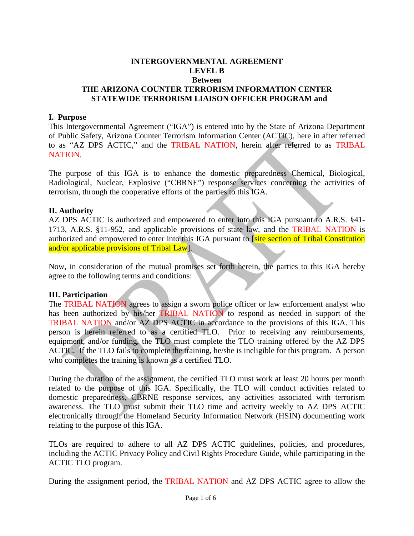#### **INTERGOVERNMENTAL AGREEMENT LEVEL B Between THE ARIZONA COUNTER TERRORISM INFORMATION CENTER STATEWIDE TERRORISM LIAISON OFFICER PROGRAM and**

#### **I. Purpose**

This Intergovernmental Agreement ("IGA") is entered into by the State of Arizona Department of Public Safety, Arizona Counter Terrorism Information Center (ACTIC), here in after referred to as "AZ DPS ACTIC," and the TRIBAL NATION, herein after referred to as TRIBAL NATION.

The purpose of this IGA is to enhance the domestic preparedness Chemical, Biological, Radiological, Nuclear, Explosive ("CBRNE") response services concerning the activities of terrorism, through the cooperative efforts of the parties to this IGA.

#### **II. Authority**

AZ DPS ACTIC is authorized and empowered to enter into this IGA pursuant to A.R.S. §41- 1713, A.R.S. §11-952, and applicable provisions of state law, and the TRIBAL NATION is authorized and empowered to enter into this IGA pursuant to [site section of Tribal Constitution and/or applicable provisions of Tribal Law].

Now, in consideration of the mutual promises set forth herein, the parties to this IGA hereby agree to the following terms and conditions:

#### **III. Participation**

The TRIBAL NATION agrees to assign a sworn police officer or law enforcement analyst who has been authorized by his/her **TRIBAL NATION** to respond as needed in support of the TRIBAL NATION and/or AZ DPS ACTIC in accordance to the provisions of this IGA. This person is herein referred to as a certified TLO. Prior to receiving any reimbursements, equipment, and/or funding, the TLO must complete the TLO training offered by the AZ DPS ACTIC. If the TLO fails to complete the training, he/she is ineligible for this program. A person who completes the training is known as a certified TLO.

During the duration of the assignment, the certified TLO must work at least 20 hours per month related to the purpose of this IGA. Specifically, the TLO will conduct activities related to domestic preparedness, CBRNE response services, any activities associated with terrorism awareness. The TLO must submit their TLO time and activity weekly to AZ DPS ACTIC electronically through the Homeland Security Information Network (HSIN) documenting work relating to the purpose of this IGA.

TLOs are required to adhere to all AZ DPS ACTIC guidelines, policies, and procedures, including the ACTIC Privacy Policy and Civil Rights Procedure Guide, while participating in the ACTIC TLO program.

During the assignment period, the TRIBAL NATION and AZ DPS ACTIC agree to allow the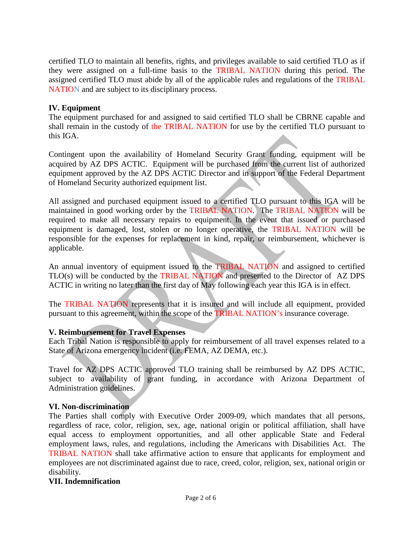certified TLO to maintain all benefits, rights, and privileges available to said certified TLO as if they were assigned on a full-time basis to the TRIBAL NATION during this period. The assigned certified TLO must abide by all of the applicable rules and regulations of the TRIBAL NATION and are subject to its disciplinary process.

# **IV. Equipment**

The equipment purchased for and assigned to said certified TLO shall be CBRNE capable and shall remain in the custody of the TRIBAL NATION for use by the certified TLO pursuant to this IGA.

Contingent upon the availability of Homeland Security Grant funding, equipment will be acquired by AZ DPS ACTIC. Equipment will be purchased from the current list of authorized equipment approved by the AZ DPS ACTIC Director and in support of the Federal Department of Homeland Security authorized equipment list.

All assigned and purchased equipment issued to a certified TLO pursuant to this IGA will be maintained in good working order by the TRIBAL NATION. The TRIBAL NATION will be required to make all necessary repairs to equipment. In the event that issued or purchased equipment is damaged, lost, stolen or no longer operative, the TRIBAL NATION will be responsible for the expenses for replacement in kind, repair, or reimbursement, whichever is applicable.

An annual inventory of equipment issued to the TRIBAL NATION and assigned to certified TLO(s) will be conducted by the TRIBAL NATION and presented to the Director of AZ DPS ACTIC in writing no later than the first day of May following each year this IGA is in effect.

The TRIBAL NATION represents that it is insured and will include all equipment, provided pursuant to this agreement, within the scope of the TRIBAL NATION's insurance coverage.

## **V. Reimbursement for Travel Expenses**

Each Tribal Nation is responsible to apply for reimbursement of all travel expenses related to a State of Arizona emergency incident (i.e. FEMA, AZ DEMA, etc.).

Travel for AZ DPS ACTIC approved TLO training shall be reimbursed by AZ DPS ACTIC, subject to availability of grant funding, in accordance with Arizona Department of Administration guidelines.

## **VI. Non-discrimination**

The Parties shall comply with Executive Order 2009-09, which mandates that all persons, regardless of race, color, religion, sex, age, national origin or political affiliation, shall have equal access to employment opportunities, and all other applicable State and Federal employment laws, rules, and regulations, including the Americans with Disabilities Act. The TRIBAL NATION shall take affirmative action to ensure that applicants for employment and employees are not discriminated against due to race, creed, color, religion, sex, national origin or disability.

## **VII. Indemnification**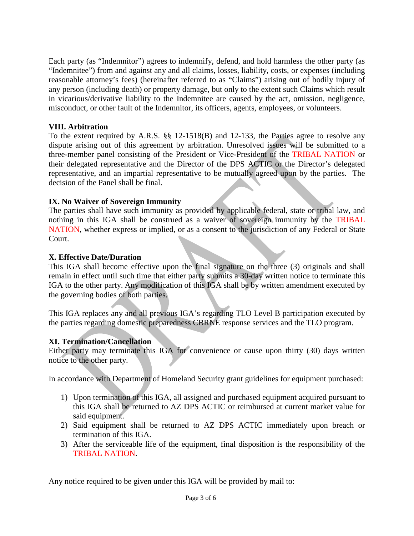Each party (as "Indemnitor") agrees to indemnify, defend, and hold harmless the other party (as "Indemnitee") from and against any and all claims, losses, liability, costs, or expenses (including reasonable attorney's fees) (hereinafter referred to as "Claims") arising out of bodily injury of any person (including death) or property damage, but only to the extent such Claims which result in vicarious/derivative liability to the Indemnitee are caused by the act, omission, negligence, misconduct, or other fault of the Indemnitor, its officers, agents, employees, or volunteers.

# **VIII. Arbitration**

To the extent required by A.R.S. §§ 12-1518(B) and 12-133, the Parties agree to resolve any dispute arising out of this agreement by arbitration. Unresolved issues will be submitted to a three-member panel consisting of the President or Vice-President of the TRIBAL NATION or their delegated representative and the Director of the DPS ACTIC or the Director's delegated representative, and an impartial representative to be mutually agreed upon by the parties. The decision of the Panel shall be final.

# **IX. No Waiver of Sovereign Immunity**

The parties shall have such immunity as provided by applicable federal, state or tribal law, and nothing in this IGA shall be construed as a waiver of sovereign immunity by the TRIBAL NATION, whether express or implied, or as a consent to the jurisdiction of any Federal or State Court.

# **X. Effective Date/Duration**

This IGA shall become effective upon the final signature on the three (3) originals and shall remain in effect until such time that either party submits a 30-day written notice to terminate this IGA to the other party. Any modification of this IGA shall be by written amendment executed by the governing bodies of both parties.

This IGA replaces any and all previous IGA's regarding TLO Level B participation executed by the parties regarding domestic preparedness CBRNE response services and the TLO program.

## **XI. Termination/Cancellation**

Either party may terminate this IGA for convenience or cause upon thirty (30) days written notice to the other party.

In accordance with Department of Homeland Security grant guidelines for equipment purchased:

- 1) Upon termination of this IGA, all assigned and purchased equipment acquired pursuant to this IGA shall be returned to AZ DPS ACTIC or reimbursed at current market value for said equipment.
- 2) Said equipment shall be returned to AZ DPS ACTIC immediately upon breach or termination of this IGA.
- 3) After the serviceable life of the equipment, final disposition is the responsibility of the TRIBAL NATION.

Any notice required to be given under this IGA will be provided by mail to: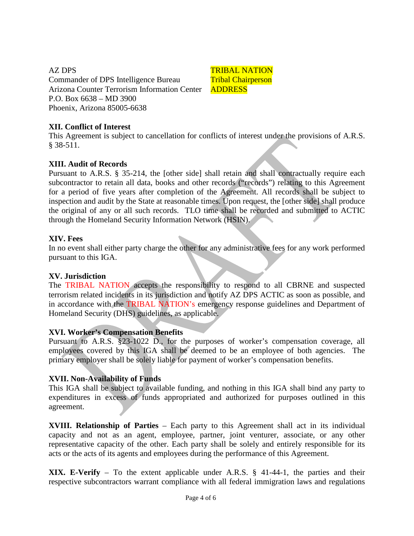AZ DPS Commander of DPS Intelligence Bureau Arizona Counter Terrorism Information Center P.O. Box 6638 – MD 3900 Phoenix, Arizona 85005-6638

TRIBAL NATION Tribal Chairperson ADDRESS

# **XII. Conflict of Interest**

This Agreement is subject to cancellation for conflicts of interest under the provisions of A.R.S. § 38-511.

## **XIII. Audit of Records**

Pursuant to A.R.S. § 35-214, the [other side] shall retain and shall contractually require each subcontractor to retain all data, books and other records ("records") relating to this Agreement for a period of five years after completion of the Agreement. All records shall be subject to inspection and audit by the State at reasonable times. Upon request, the [other side] shall produce the original of any or all such records. TLO time shall be recorded and submitted to ACTIC through the Homeland Security Information Network (HSIN).

#### **XIV. Fees**

In no event shall either party charge the other for any administrative fees for any work performed pursuant to this IGA.

#### **XV. Jurisdiction**

The TRIBAL NATION accepts the responsibility to respond to all CBRNE and suspected terrorism related incidents in its jurisdiction and notify AZ DPS ACTIC as soon as possible, and in accordance with the TRIBAL NATION's emergency response guidelines and Department of Homeland Security (DHS) guidelines, as applicable.

#### **XVI. Worker's Compensation Benefits**

Pursuant to A.R.S. §23-1022 D., for the purposes of worker's compensation coverage, all employees covered by this IGA shall be deemed to be an employee of both agencies. The primary employer shall be solely liable for payment of worker's compensation benefits.

#### **XVII. Non-Availability of Funds**

This IGA shall be subject to available funding, and nothing in this IGA shall bind any party to expenditures in excess of funds appropriated and authorized for purposes outlined in this agreement.

**XVIII. Relationship of Parties** – Each party to this Agreement shall act in its individual capacity and not as an agent, employee, partner, joint venturer, associate, or any other representative capacity of the other. Each party shall be solely and entirely responsible for its acts or the acts of its agents and employees during the performance of this Agreement.

**XIX. E-Verify** – To the extent applicable under A.R.S. § 41-44-1, the parties and their respective subcontractors warrant compliance with all federal immigration laws and regulations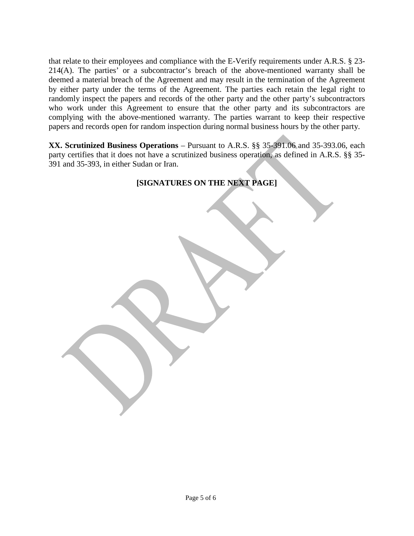that relate to their employees and compliance with the E-Verify requirements under A.R.S. § 23- 214(A). The parties' or a subcontractor's breach of the above-mentioned warranty shall be deemed a material breach of the Agreement and may result in the termination of the Agreement by either party under the terms of the Agreement. The parties each retain the legal right to randomly inspect the papers and records of the other party and the other party's subcontractors who work under this Agreement to ensure that the other party and its subcontractors are complying with the above-mentioned warranty. The parties warrant to keep their respective papers and records open for random inspection during normal business hours by the other party.

**XX. Scrutinized Business Operations** – Pursuant to A.R.S. §§ 35-391.06 and 35-393.06, each party certifies that it does not have a scrutinized business operation, as defined in A.R.S. §§ 35- 391 and 35-393, in either Sudan or Iran.

# **[SIGNATURES ON THE NEXT PAGE]**